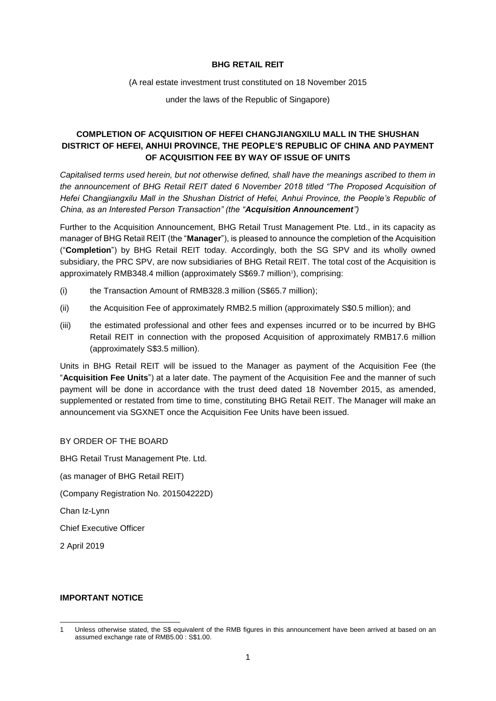## **BHG RETAIL REIT**

(A real estate investment trust constituted on 18 November 2015

under the laws of the Republic of Singapore)

## **COMPLETION OF ACQUISITION OF HEFEI CHANGJIANGXILU MALL IN THE SHUSHAN DISTRICT OF HEFEI, ANHUI PROVINCE, THE PEOPLE'S REPUBLIC OF CHINA AND PAYMENT OF ACQUISITION FEE BY WAY OF ISSUE OF UNITS**

*Capitalised terms used herein, but not otherwise defined, shall have the meanings ascribed to them in the announcement of BHG Retail REIT dated 6 November 2018 titled "The Proposed Acquisition of Hefei Changjiangxilu Mall in the Shushan District of Hefei, Anhui Province, the People's Republic of China, as an Interested Person Transaction" (the "Acquisition Announcement")* 

Further to the Acquisition Announcement, BHG Retail Trust Management Pte. Ltd., in its capacity as manager of BHG Retail REIT (the "**Manager**"), is pleased to announce the completion of the Acquisition ("**Completion**") by BHG Retail REIT today. Accordingly, both the SG SPV and its wholly owned subsidiary, the PRC SPV, are now subsidiaries of BHG Retail REIT. The total cost of the Acquisition is approximately RMB348.4 million (approximately S\$69.7 million<sup>1</sup>), comprising:

- (i) the Transaction Amount of RMB328.3 million (S\$65.7 million);
- (ii) the Acquisition Fee of approximately RMB2.5 million (approximately S\$0.5 million); and
- (iii) the estimated professional and other fees and expenses incurred or to be incurred by BHG Retail REIT in connection with the proposed Acquisition of approximately RMB17.6 million (approximately S\$3.5 million).

Units in BHG Retail REIT will be issued to the Manager as payment of the Acquisition Fee (the "**Acquisition Fee Units**") at a later date. The payment of the Acquisition Fee and the manner of such payment will be done in accordance with the trust deed dated 18 November 2015, as amended, supplemented or restated from time to time, constituting BHG Retail REIT. The Manager will make an announcement via SGXNET once the Acquisition Fee Units have been issued.

BY ORDER OF THE BOARD BHG Retail Trust Management Pte. Ltd. (as manager of BHG Retail REIT) (Company Registration No. 201504222D) Chan Iz-Lynn Chief Executive Officer

2 April 2019

## **IMPORTANT NOTICE**

<sup>1</sup> 1 Unless otherwise stated, the S\$ equivalent of the RMB figures in this announcement have been arrived at based on an assumed exchange rate of RMB5.00 : S\$1.00.